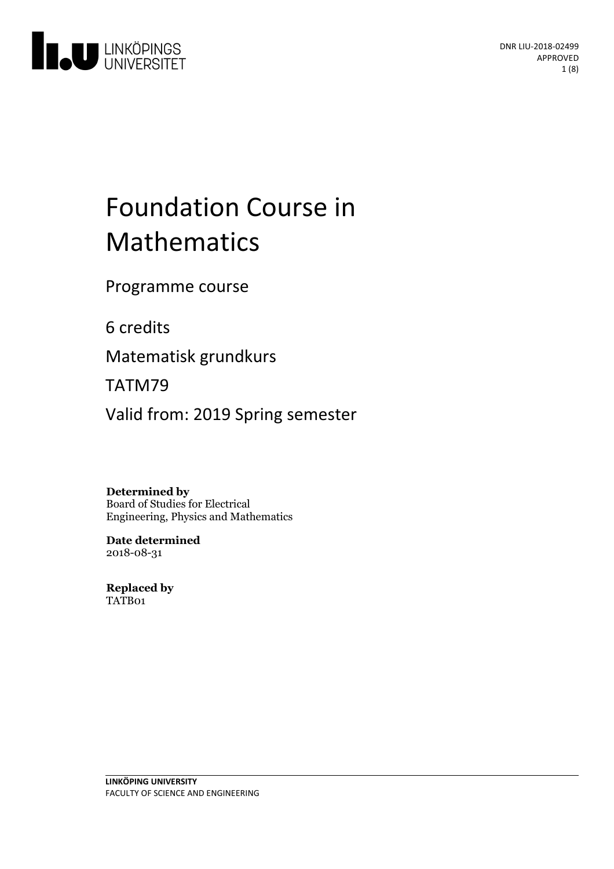

# Foundation Course in Mathematics

Programme course

6 credits

Matematisk grundkurs

TATM79

Valid from: 2019 Spring semester

**Determined by**

Board of Studies for Electrical Engineering, Physics and Mathematics

**Date determined** 2018-08-31

**Replaced by** TATB01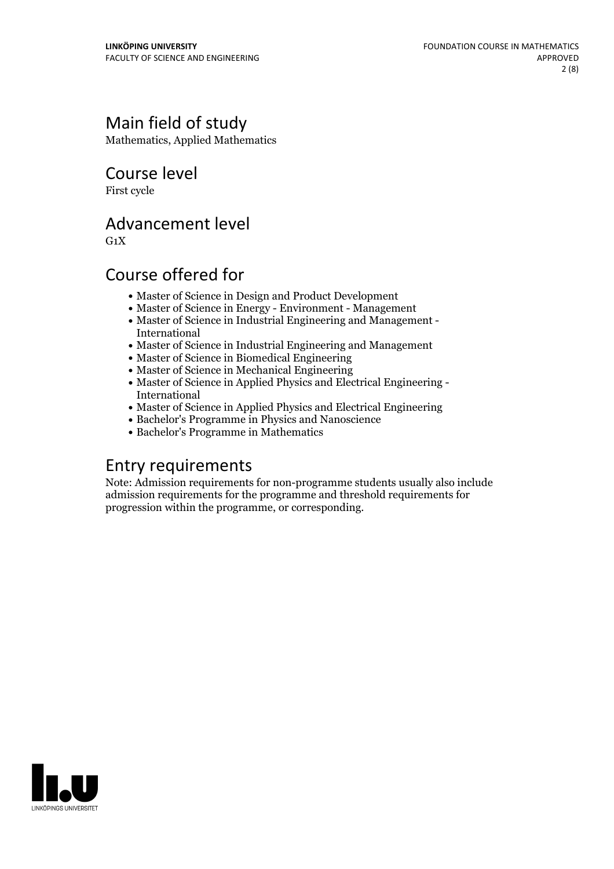# Main field of study

Mathematics, Applied Mathematics

Course level

First cycle

## Advancement level

 $G_1X$ 

# Course offered for

- Master of Science in Design and Product Development
- Master of Science in Energy Environment Management
- Master of Science in Industrial Engineering and Management International
- Master of Science in Industrial Engineering and Management
- Master of Science in Biomedical Engineering
- Master of Science in Mechanical Engineering
- Master of Science in Applied Physics and Electrical Engineering International
- Master of Science in Applied Physics and Electrical Engineering
- Bachelor's Programme in Physics and Nanoscience
- Bachelor's Programme in Mathematics

# Entry requirements

Note: Admission requirements for non-programme students usually also include admission requirements for the programme and threshold requirements for progression within the programme, or corresponding.

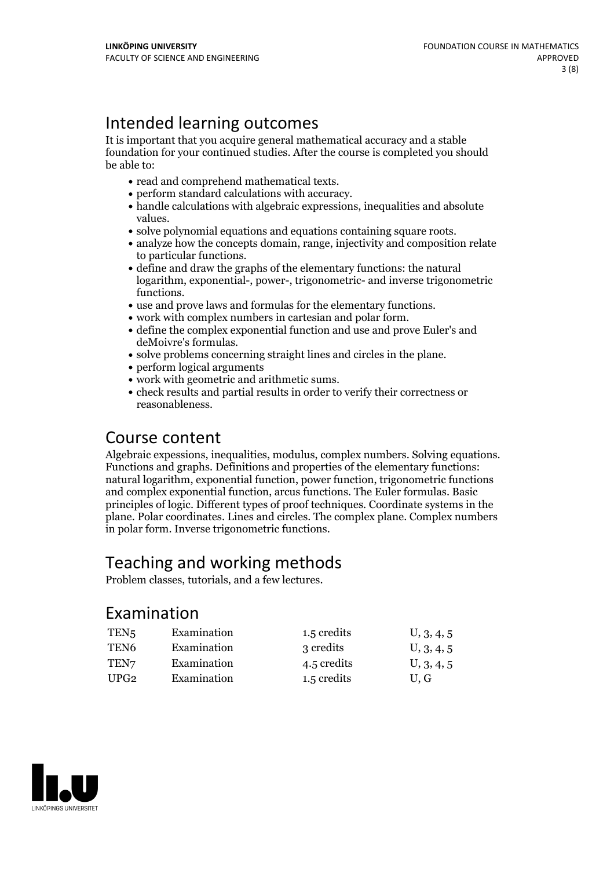# Intended learning outcomes

It is important that you acquire general mathematical accuracy and a stable foundation for your continued studies. After the course is completed you should be able to:

- 
- 
- read and comprehend mathematical texts. perform standard calculations with accuracy. handle calculations with algebraic expressions, inequalities and absolute
- 
- values.<br>• solve polynomial equations and equations containing square roots.<br>• analyze how the concepts domain, range, injectivity and composition relate<br>to particular functions.
- $\bullet$  define and draw the graphs of the elementary functions: the natural logarithm, exponential-, power-, trigonometric- and inverse trigonometric • use and prove laws and formulas for the elementary functions.<br>• work with complex numbers in cartesian and polar form.<br>• define the complex exponential function and use and prove Euler's and
- 
- 
- 
- deMoivre's formulas.<br>• solve problems concerning straight lines and circles in the plane.<br>• perform logical arguments<br>• work with geometric and arithmetic sums.
- 
- 
- check results and partial results in order to verify their correctness or reasonableness.

### Course content

Algebraic expessions, inequalities, modulus, complex numbers. Solving equations. Functions and graphs. Definitions and properties of the elementary functions: natural logarithm, exponential function, power function, trigonometric functions and complex exponential function, arcus functions. The Euler formulas. Basic principles of logic. Different types of proof techniques. Coordinate systems in the plane. Polar coordinates. Lines and circles. The complex plane. Complex numbers in polar form. Inverse trigonometric functions.

### Teaching and working methods

Problem classes, tutorials, and a few lectures.

### Examination

| TEN <sub>5</sub> | Examination | 1.5 credits | U, 3, 4, 5 |
|------------------|-------------|-------------|------------|
| TEN <sub>6</sub> | Examination | 3 credits   | U, 3, 4, 5 |
| TEN <sub>7</sub> | Examination | 4.5 credits | U, 3, 4, 5 |
| UPG <sub>2</sub> | Examination | 1.5 credits | U.G        |

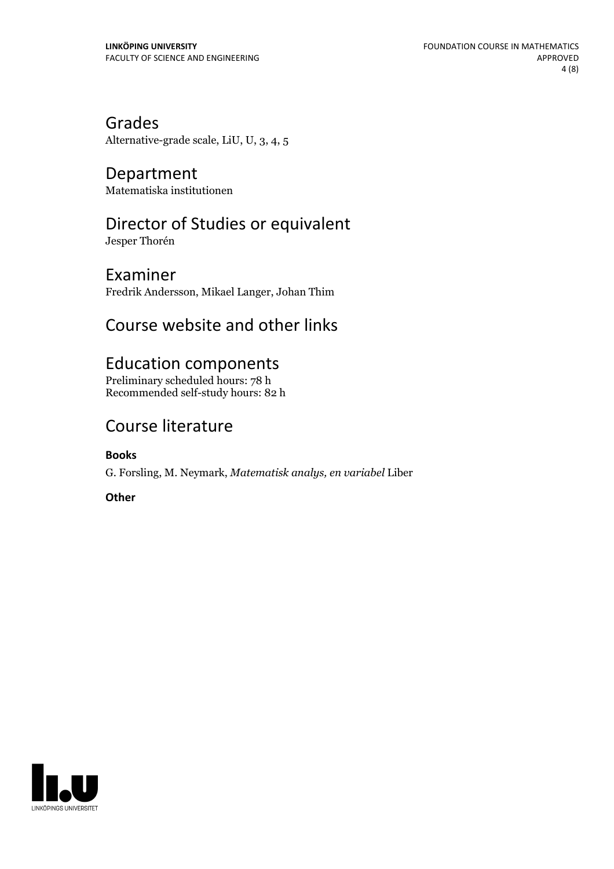Grades Alternative-grade scale, LiU, U, 3, 4, 5

Department Matematiska institutionen

# Director of Studies or equivalent

Jesper Thorén

Examiner Fredrik Andersson, Mikael Langer, Johan Thim

# Course website and other links

## Education components

Preliminary scheduled hours: 78 h Recommended self-study hours: 82 h

# Course literature

**Books**

G. Forsling, M. Neymark, *Matematisk analys, en variabel* Liber

**Other**

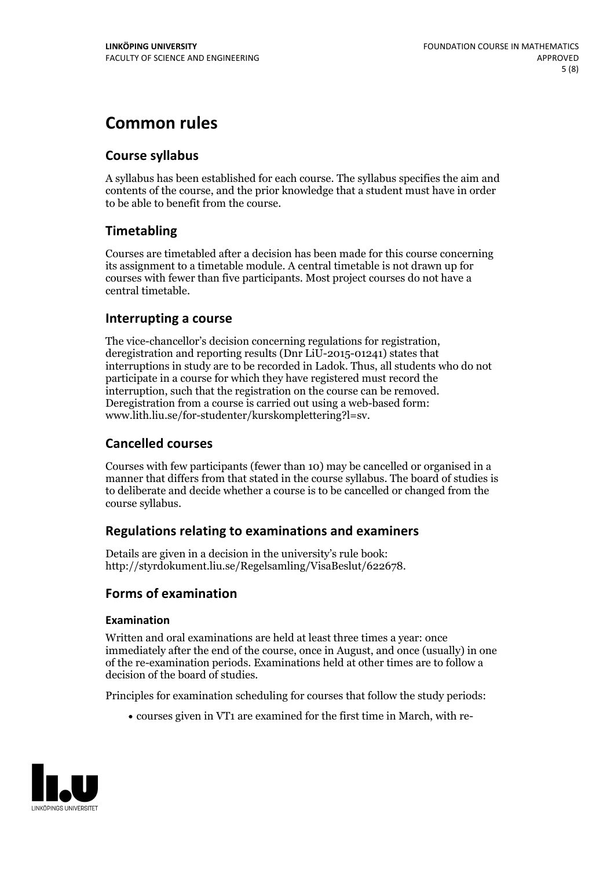# **Common rules**

### **Course syllabus**

A syllabus has been established for each course. The syllabus specifies the aim and contents of the course, and the prior knowledge that a student must have in order to be able to benefit from the course.

### **Timetabling**

Courses are timetabled after a decision has been made for this course concerning its assignment to a timetable module. A central timetable is not drawn up for courses with fewer than five participants. Most project courses do not have a central timetable.

### **Interrupting a course**

The vice-chancellor's decision concerning regulations for registration, deregistration and reporting results (Dnr LiU-2015-01241) states that interruptions in study are to be recorded in Ladok. Thus, all students who do not participate in a course for which they have registered must record the interruption, such that the registration on the course can be removed. Deregistration from <sup>a</sup> course is carried outusing <sup>a</sup> web-based form: www.lith.liu.se/for-studenter/kurskomplettering?l=sv.

### **Cancelled courses**

Courses with few participants (fewer than 10) may be cancelled or organised in a manner that differs from that stated in the course syllabus. The board of studies is to deliberate and decide whether a course is to be cancelled orchanged from the course syllabus.

### **Regulations relatingto examinations and examiners**

Details are given in a decision in the university's rule book: http://styrdokument.liu.se/Regelsamling/VisaBeslut/622678.

### **Forms of examination**

### **Examination**

Written and oral examinations are held at least three times a year: once immediately after the end of the course, once in August, and once (usually) in one of the re-examination periods. Examinations held at other times are to follow a decision of the board of studies.

Principles for examination scheduling for courses that follow the study periods:

courses given in VT1 are examined for the first time in March, with re-

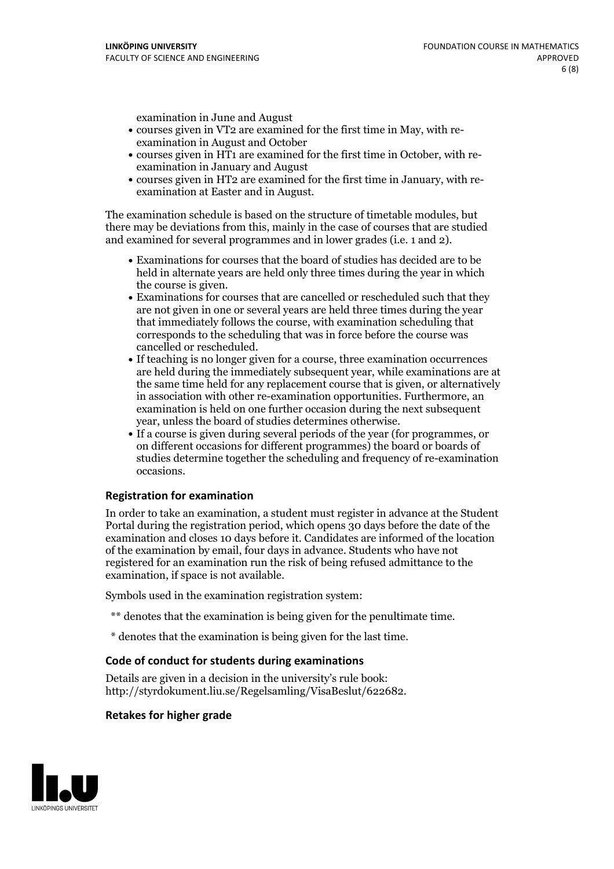examination in June and August

- courses given in VT2 are examined for the first time in May, with re-examination in August and October
- courses given in HT1 are examined for the first time in October, with re-examination in January and August
- courses given in HT2 are examined for the first time in January, with re-examination at Easter and in August.

The examination schedule is based on the structure of timetable modules, but there may be deviations from this, mainly in the case of courses that are studied and examined for several programmes and in lower grades (i.e. 1 and 2).

- Examinations for courses that the board of studies has decided are to be held in alternate years are held only three times during the year in which
- the course is given.<br>• Examinations for courses that are cancelled or rescheduled such that they are not given in one or several years are held three times during the year that immediately follows the course, with examination scheduling that corresponds to the scheduling that was in force before the course was cancelled or rescheduled.<br>• If teaching is no longer given for a course, three examination occurrences
- are held during the immediately subsequent year, while examinations are at the same time held for any replacement course that is given, or alternatively in association with other re-examination opportunities. Furthermore, an examination is held on one further occasion during the next subsequent year, unless the board of studies determines otherwise.<br>• If a course is given during several periods of the year (for programmes, or
- on different occasions for different programmes) the board orboards of studies determine together the scheduling and frequency of re-examination occasions.

#### **Registration for examination**

In order to take an examination, a student must register in advance at the Student Portal during the registration period, which opens 30 days before the date of the examination and closes 10 days before it. Candidates are informed of the location of the examination by email, four days in advance. Students who have not registered for an examination run the risk of being refused admittance to the examination, if space is not available.

Symbols used in the examination registration system:

- \*\* denotes that the examination is being given for the penultimate time.
- \* denotes that the examination is being given for the last time.

#### **Code of conduct for students during examinations**

Details are given in a decision in the university's rule book: http://styrdokument.liu.se/Regelsamling/VisaBeslut/622682.

#### **Retakes for higher grade**

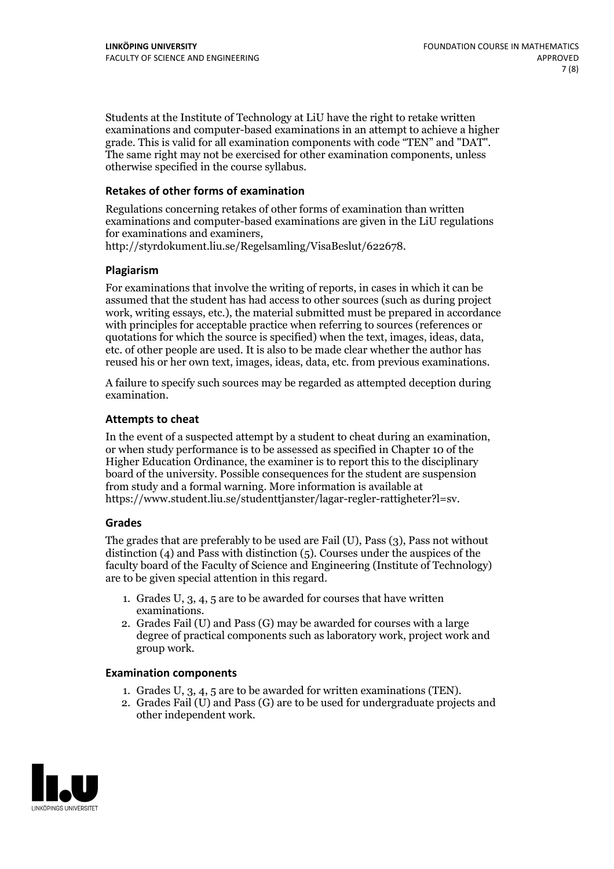Students at the Institute of Technology at LiU have the right to retake written examinations and computer-based examinations in an attempt to achieve a higher grade. This is valid for all examination components with code "TEN" and "DAT". The same right may not be exercised for other examination components, unless otherwise specified in the course syllabus.

#### **Retakes of other forms of examination**

Regulations concerning retakes of other forms of examination than written examinations and computer-based examinations are given in the LiU regulations for examinations and examiners, http://styrdokument.liu.se/Regelsamling/VisaBeslut/622678.

#### **Plagiarism**

For examinations that involve the writing of reports, in cases in which it can be assumed that the student has had access to other sources (such as during project work, writing essays, etc.), the material submitted must be prepared in accordance with principles for acceptable practice when referring to sources (references or quotations for which the source is specified) when the text, images, ideas, data, etc. of other people are used. It is also to be made clear whether the author has reused his or her own text, images, ideas, data, etc. from previous examinations.

A failure to specify such sources may be regarded as attempted deception during examination.

#### **Attempts to cheat**

In the event of <sup>a</sup> suspected attempt by <sup>a</sup> student to cheat during an examination, or when study performance is to be assessed as specified in Chapter <sup>10</sup> of the Higher Education Ordinance, the examiner is to report this to the disciplinary board of the university. Possible consequences for the student are suspension from study and a formal warning. More information is available at https://www.student.liu.se/studenttjanster/lagar-regler-rattigheter?l=sv.

#### **Grades**

The grades that are preferably to be used are Fail (U), Pass (3), Pass not without distinction  $(4)$  and Pass with distinction  $(5)$ . Courses under the auspices of the faculty board of the Faculty of Science and Engineering (Institute of Technology) are to be given special attention in this regard.

- 1. Grades U, 3, 4, 5 are to be awarded for courses that have written
- examinations. 2. Grades Fail (U) and Pass (G) may be awarded for courses with <sup>a</sup> large degree of practical components such as laboratory work, project work and group work.

#### **Examination components**

- 
- 1. Grades U, 3, 4, <sup>5</sup> are to be awarded for written examinations (TEN). 2. Grades Fail (U) and Pass (G) are to be used for undergraduate projects and other independent work.